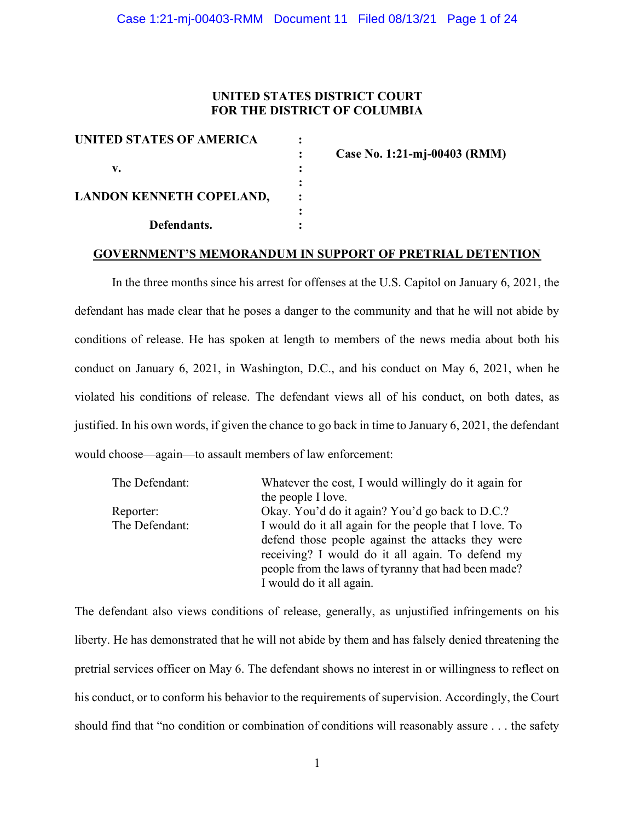## UNITED STATES DISTRICT COURT FOR THE DISTRICT OF COLUMBIA

| <b>UNITED STATES OF AMERICA</b> |  |
|---------------------------------|--|
|                                 |  |
| v.                              |  |
|                                 |  |
| <b>LANDON KENNETH COPELAND,</b> |  |
|                                 |  |
| Defendants.                     |  |

: Case No. 1:21-mj-00403 (RMM)

#### GOVERNMENT'S MEMORANDUM IN SUPPORT OF PRETRIAL DETENTION

 In the three months since his arrest for offenses at the U.S. Capitol on January 6, 2021, the defendant has made clear that he poses a danger to the community and that he will not abide by conditions of release. He has spoken at length to members of the news media about both his conduct on January 6, 2021, in Washington, D.C., and his conduct on May 6, 2021, when he violated his conditions of release. The defendant views all of his conduct, on both dates, as justified. In his own words, if given the chance to go back in time to January 6, 2021, the defendant would choose—again—to assault members of law enforcement:

| The Defendant: | Whatever the cost, I would willingly do it again for   |
|----------------|--------------------------------------------------------|
|                | the people I love.                                     |
| Reporter:      | Okay. You'd do it again? You'd go back to D.C.?        |
| The Defendant: | I would do it all again for the people that I love. To |
|                | defend those people against the attacks they were      |
|                | receiving? I would do it all again. To defend my       |
|                | people from the laws of tyranny that had been made?    |
|                | I would do it all again.                               |

The defendant also views conditions of release, generally, as unjustified infringements on his liberty. He has demonstrated that he will not abide by them and has falsely denied threatening the pretrial services officer on May 6. The defendant shows no interest in or willingness to reflect on his conduct, or to conform his behavior to the requirements of supervision. Accordingly, the Court should find that "no condition or combination of conditions will reasonably assure . . . the safety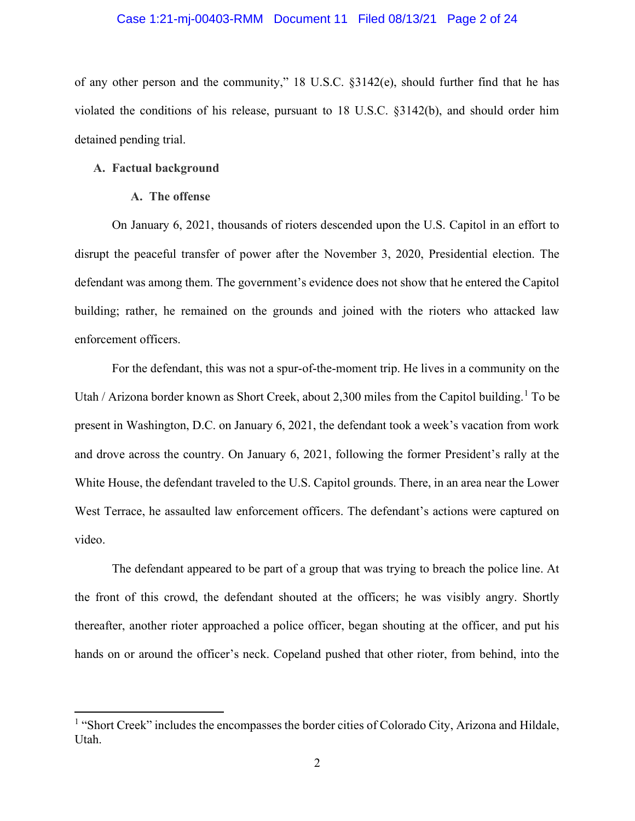#### Case 1:21-mj-00403-RMM Document 11 Filed 08/13/21 Page 2 of 24

of any other person and the community," 18 U.S.C. §3142(e), should further find that he has violated the conditions of his release, pursuant to 18 U.S.C. §3142(b), and should order him detained pending trial.

#### A. Factual background

#### A. The offense

On January 6, 2021, thousands of rioters descended upon the U.S. Capitol in an effort to disrupt the peaceful transfer of power after the November 3, 2020, Presidential election. The defendant was among them. The government's evidence does not show that he entered the Capitol building; rather, he remained on the grounds and joined with the rioters who attacked law enforcement officers.

For the defendant, this was not a spur-of-the-moment trip. He lives in a community on the Utah / Arizona border known as Short Creek, about 2,300 miles from the Capitol building.<sup>1</sup> To be present in Washington, D.C. on January 6, 2021, the defendant took a week's vacation from work and drove across the country. On January 6, 2021, following the former President's rally at the White House, the defendant traveled to the U.S. Capitol grounds. There, in an area near the Lower West Terrace, he assaulted law enforcement officers. The defendant's actions were captured on video.

The defendant appeared to be part of a group that was trying to breach the police line. At the front of this crowd, the defendant shouted at the officers; he was visibly angry. Shortly thereafter, another rioter approached a police officer, began shouting at the officer, and put his hands on or around the officer's neck. Copeland pushed that other rioter, from behind, into the

<sup>&</sup>lt;sup>1</sup> "Short Creek" includes the encompasses the border cities of Colorado City, Arizona and Hildale, Utah.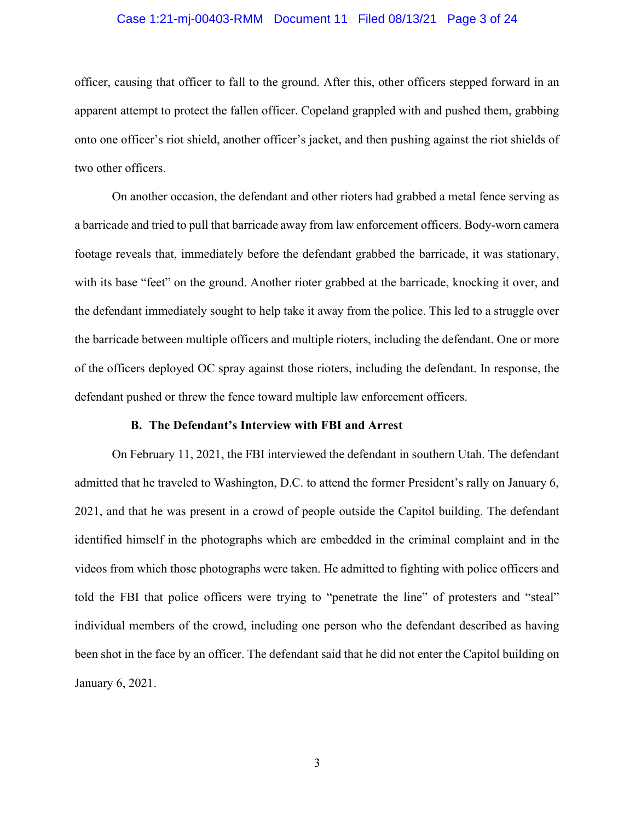#### Case 1:21-mj-00403-RMM Document 11 Filed 08/13/21 Page 3 of 24

officer, causing that officer to fall to the ground. After this, other officers stepped forward in an apparent attempt to protect the fallen officer. Copeland grappled with and pushed them, grabbing onto one officer's riot shield, another officer's jacket, and then pushing against the riot shields of two other officers.

On another occasion, the defendant and other rioters had grabbed a metal fence serving as a barricade and tried to pull that barricade away from law enforcement officers. Body-worn camera footage reveals that, immediately before the defendant grabbed the barricade, it was stationary, with its base "feet" on the ground. Another rioter grabbed at the barricade, knocking it over, and the defendant immediately sought to help take it away from the police. This led to a struggle over the barricade between multiple officers and multiple rioters, including the defendant. One or more of the officers deployed OC spray against those rioters, including the defendant. In response, the defendant pushed or threw the fence toward multiple law enforcement officers.

## B. The Defendant's Interview with FBI and Arrest

On February 11, 2021, the FBI interviewed the defendant in southern Utah. The defendant admitted that he traveled to Washington, D.C. to attend the former President's rally on January 6, 2021, and that he was present in a crowd of people outside the Capitol building. The defendant identified himself in the photographs which are embedded in the criminal complaint and in the videos from which those photographs were taken. He admitted to fighting with police officers and told the FBI that police officers were trying to "penetrate the line" of protesters and "steal" individual members of the crowd, including one person who the defendant described as having been shot in the face by an officer. The defendant said that he did not enter the Capitol building on January 6, 2021.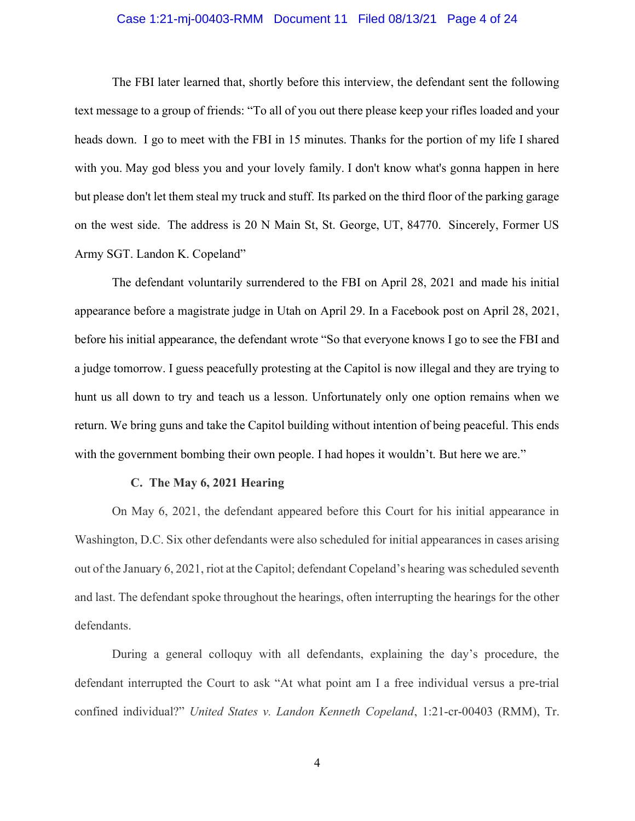## Case 1:21-mj-00403-RMM Document 11 Filed 08/13/21 Page 4 of 24

The FBI later learned that, shortly before this interview, the defendant sent the following text message to a group of friends: "To all of you out there please keep your rifles loaded and your heads down. I go to meet with the FBI in 15 minutes. Thanks for the portion of my life I shared with you. May god bless you and your lovely family. I don't know what's gonna happen in here but please don't let them steal my truck and stuff. Its parked on the third floor of the parking garage on the west side. The address is 20 N Main St, St. George, UT, 84770. Sincerely, Former US Army SGT. Landon K. Copeland"

The defendant voluntarily surrendered to the FBI on April 28, 2021 and made his initial appearance before a magistrate judge in Utah on April 29. In a Facebook post on April 28, 2021, before his initial appearance, the defendant wrote "So that everyone knows I go to see the FBI and a judge tomorrow. I guess peacefully protesting at the Capitol is now illegal and they are trying to hunt us all down to try and teach us a lesson. Unfortunately only one option remains when we return. We bring guns and take the Capitol building without intention of being peaceful. This ends with the government bombing their own people. I had hopes it wouldn't. But here we are."

## C. The May 6, 2021 Hearing

On May 6, 2021, the defendant appeared before this Court for his initial appearance in Washington, D.C. Six other defendants were also scheduled for initial appearances in cases arising out of the January 6, 2021, riot at the Capitol; defendant Copeland's hearing was scheduled seventh and last. The defendant spoke throughout the hearings, often interrupting the hearings for the other defendants.

During a general colloquy with all defendants, explaining the day's procedure, the defendant interrupted the Court to ask "At what point am I a free individual versus a pre-trial confined individual?" United States v. Landon Kenneth Copeland, 1:21-cr-00403 (RMM), Tr.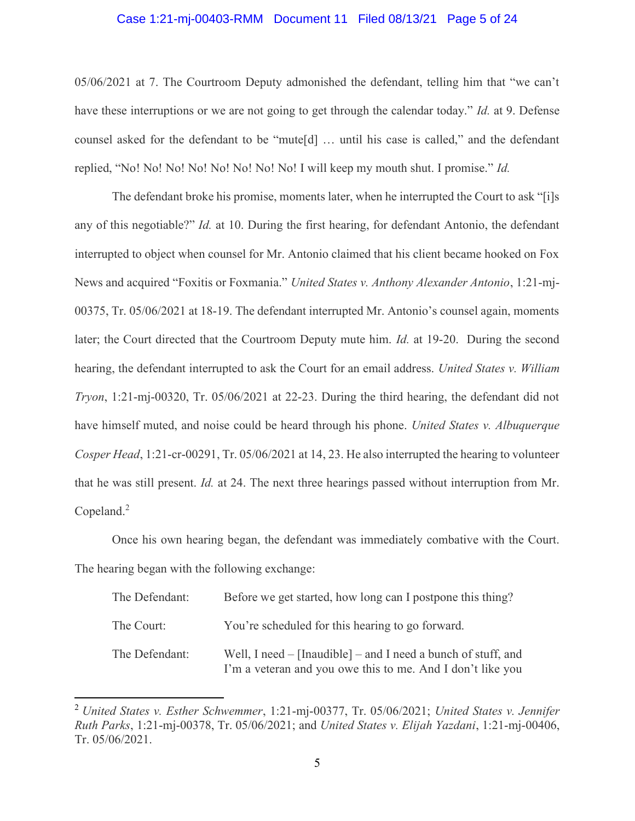## Case 1:21-mj-00403-RMM Document 11 Filed 08/13/21 Page 5 of 24

05/06/2021 at 7. The Courtroom Deputy admonished the defendant, telling him that "we can't have these interruptions or we are not going to get through the calendar today." Id. at 9. Defense counsel asked for the defendant to be "mute[d] … until his case is called," and the defendant replied, "No! No! No! No! No! No! No! No! I will keep my mouth shut. I promise." Id.

The defendant broke his promise, moments later, when he interrupted the Court to ask "[i]s any of this negotiable?" Id. at 10. During the first hearing, for defendant Antonio, the defendant interrupted to object when counsel for Mr. Antonio claimed that his client became hooked on Fox News and acquired "Foxitis or Foxmania." United States v. Anthony Alexander Antonio, 1:21-mj-00375, Tr. 05/06/2021 at 18-19. The defendant interrupted Mr. Antonio's counsel again, moments later; the Court directed that the Courtroom Deputy mute him. *Id.* at 19-20. During the second hearing, the defendant interrupted to ask the Court for an email address. United States v. William Tryon, 1:21-mj-00320, Tr. 05/06/2021 at 22-23. During the third hearing, the defendant did not have himself muted, and noise could be heard through his phone. United States v. Albuquerque Cosper Head, 1:21-cr-00291, Tr. 05/06/2021 at 14, 23. He also interrupted the hearing to volunteer that he was still present. Id. at 24. The next three hearings passed without interruption from Mr. Copeland. $2$ 

Once his own hearing began, the defendant was immediately combative with the Court. The hearing began with the following exchange:

| The Defendant: | Before we get started, how long can I postpone this thing?                                                                  |
|----------------|-----------------------------------------------------------------------------------------------------------------------------|
| The Court:     | You're scheduled for this hearing to go forward.                                                                            |
| The Defendant: | Well, I need – [Inaudible] – and I need a bunch of stuff, and<br>I'm a veteran and you owe this to me. And I don't like you |

<sup>&</sup>lt;sup>2</sup> United States v. Esther Schwemmer, 1:21-mj-00377, Tr. 05/06/2021; United States v. Jennifer Ruth Parks, 1:21-mj-00378, Tr. 05/06/2021; and United States v. Elijah Yazdani, 1:21-mj-00406, Tr. 05/06/2021.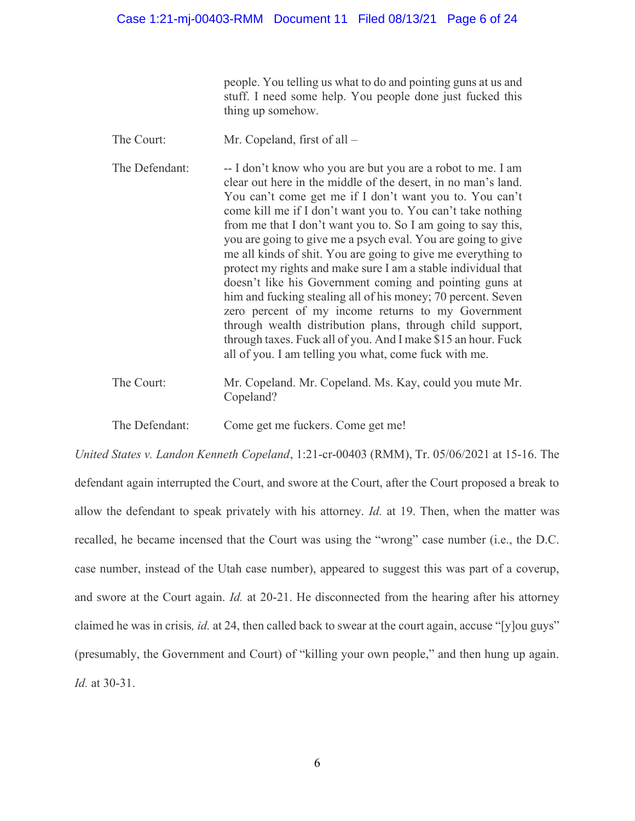people. You telling us what to do and pointing guns at us and stuff. I need some help. You people done just fucked this thing up somehow.

- The Court: Mr. Copeland, first of all –
- The Defendant: -- I don't know who you are but you are a robot to me. I am clear out here in the middle of the desert, in no man's land. You can't come get me if I don't want you to. You can't come kill me if I don't want you to. You can't take nothing from me that I don't want you to. So I am going to say this, you are going to give me a psych eval. You are going to give me all kinds of shit. You are going to give me everything to protect my rights and make sure I am a stable individual that doesn't like his Government coming and pointing guns at him and fucking stealing all of his money; 70 percent. Seven zero percent of my income returns to my Government through wealth distribution plans, through child support, through taxes. Fuck all of you. And I make \$15 an hour. Fuck all of you. I am telling you what, come fuck with me.
- The Court: Mr. Copeland. Mr. Copeland. Ms. Kay, could you mute Mr. Copeland?

The Defendant: Come get me fuckers. Come get me!

United States v. Landon Kenneth Copeland, 1:21-cr-00403 (RMM), Tr. 05/06/2021 at 15-16. The defendant again interrupted the Court, and swore at the Court, after the Court proposed a break to allow the defendant to speak privately with his attorney. Id. at 19. Then, when the matter was recalled, he became incensed that the Court was using the "wrong" case number (i.e., the D.C. case number, instead of the Utah case number), appeared to suggest this was part of a coverup, and swore at the Court again. Id. at 20-21. He disconnected from the hearing after his attorney claimed he was in crisis, id. at 24, then called back to swear at the court again, accuse "[y]ou guys" (presumably, the Government and Court) of "killing your own people," and then hung up again. Id. at 30-31.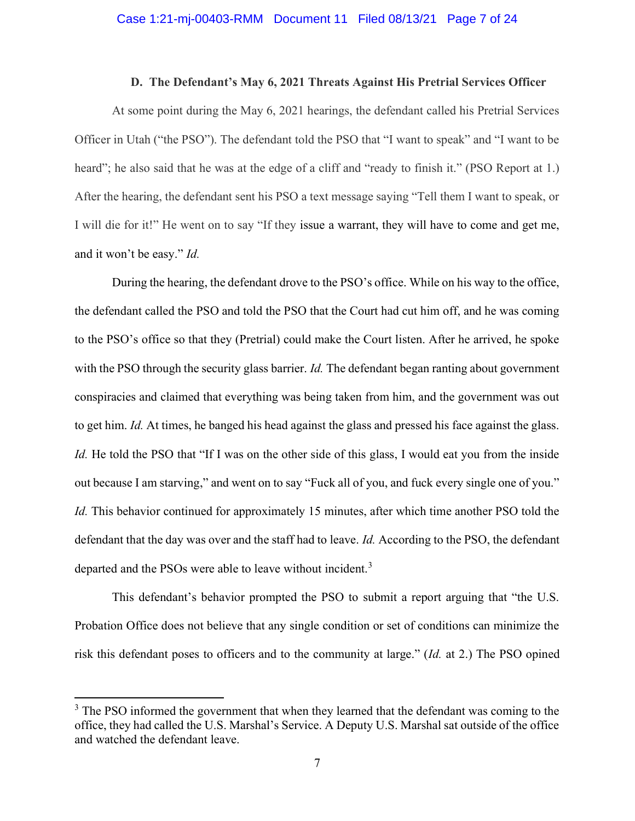#### D. The Defendant's May 6, 2021 Threats Against His Pretrial Services Officer

At some point during the May 6, 2021 hearings, the defendant called his Pretrial Services Officer in Utah ("the PSO"). The defendant told the PSO that "I want to speak" and "I want to be heard"; he also said that he was at the edge of a cliff and "ready to finish it." (PSO Report at 1.) After the hearing, the defendant sent his PSO a text message saying "Tell them I want to speak, or I will die for it!" He went on to say "If they issue a warrant, they will have to come and get me, and it won't be easy." Id.

During the hearing, the defendant drove to the PSO's office. While on his way to the office, the defendant called the PSO and told the PSO that the Court had cut him off, and he was coming to the PSO's office so that they (Pretrial) could make the Court listen. After he arrived, he spoke with the PSO through the security glass barrier. Id. The defendant began ranting about government conspiracies and claimed that everything was being taken from him, and the government was out to get him. Id. At times, he banged his head against the glass and pressed his face against the glass. Id. He told the PSO that "If I was on the other side of this glass, I would eat you from the inside out because I am starving," and went on to say "Fuck all of you, and fuck every single one of you." Id. This behavior continued for approximately 15 minutes, after which time another PSO told the defendant that the day was over and the staff had to leave. Id. According to the PSO, the defendant departed and the PSOs were able to leave without incident.<sup>3</sup>

This defendant's behavior prompted the PSO to submit a report arguing that "the U.S. Probation Office does not believe that any single condition or set of conditions can minimize the risk this defendant poses to officers and to the community at large." (Id. at 2.) The PSO opined

 $3$  The PSO informed the government that when they learned that the defendant was coming to the office, they had called the U.S. Marshal's Service. A Deputy U.S. Marshal sat outside of the office and watched the defendant leave.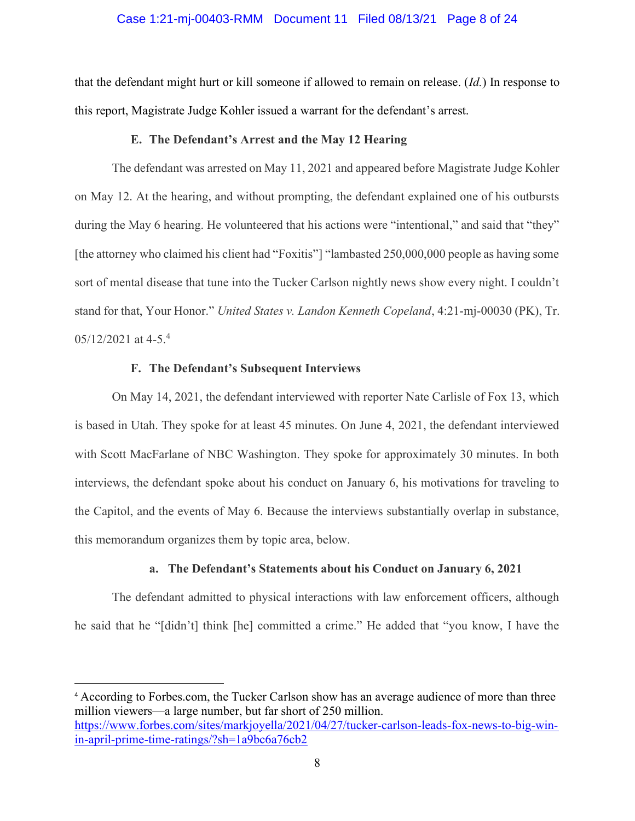### Case 1:21-mj-00403-RMM Document 11 Filed 08/13/21 Page 8 of 24

that the defendant might hurt or kill someone if allowed to remain on release. (Id.) In response to this report, Magistrate Judge Kohler issued a warrant for the defendant's arrest.

## E. The Defendant's Arrest and the May 12 Hearing

The defendant was arrested on May 11, 2021 and appeared before Magistrate Judge Kohler on May 12. At the hearing, and without prompting, the defendant explained one of his outbursts during the May 6 hearing. He volunteered that his actions were "intentional," and said that "they" [the attorney who claimed his client had "Foxitis"] "lambasted 250,000,000 people as having some sort of mental disease that tune into the Tucker Carlson nightly news show every night. I couldn't stand for that, Your Honor." United States v. Landon Kenneth Copeland, 4:21-mj-00030 (PK), Tr. 05/12/2021 at 4-5.<sup>4</sup>

## F. The Defendant's Subsequent Interviews

On May 14, 2021, the defendant interviewed with reporter Nate Carlisle of Fox 13, which is based in Utah. They spoke for at least 45 minutes. On June 4, 2021, the defendant interviewed with Scott MacFarlane of NBC Washington. They spoke for approximately 30 minutes. In both interviews, the defendant spoke about his conduct on January 6, his motivations for traveling to the Capitol, and the events of May 6. Because the interviews substantially overlap in substance, this memorandum organizes them by topic area, below.

## a. The Defendant's Statements about his Conduct on January 6, 2021

The defendant admitted to physical interactions with law enforcement officers, although he said that he "[didn't] think [he] committed a crime." He added that "you know, I have the

<sup>4</sup> According to Forbes.com, the Tucker Carlson show has an average audience of more than three million viewers—a large number, but far short of 250 million. https://www.forbes.com/sites/markjoyella/2021/04/27/tucker-carlson-leads-fox-news-to-big-winin-april-prime-time-ratings/?sh=1a9bc6a76cb2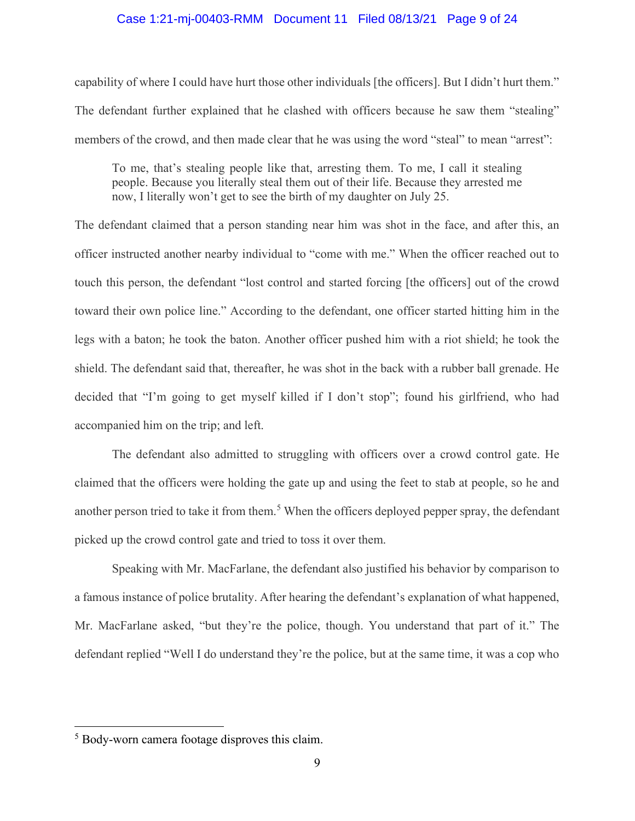### Case 1:21-mj-00403-RMM Document 11 Filed 08/13/21 Page 9 of 24

capability of where I could have hurt those other individuals [the officers]. But I didn't hurt them." The defendant further explained that he clashed with officers because he saw them "stealing" members of the crowd, and then made clear that he was using the word "steal" to mean "arrest":

To me, that's stealing people like that, arresting them. To me, I call it stealing people. Because you literally steal them out of their life. Because they arrested me now, I literally won't get to see the birth of my daughter on July 25.

The defendant claimed that a person standing near him was shot in the face, and after this, an officer instructed another nearby individual to "come with me." When the officer reached out to touch this person, the defendant "lost control and started forcing [the officers] out of the crowd toward their own police line." According to the defendant, one officer started hitting him in the legs with a baton; he took the baton. Another officer pushed him with a riot shield; he took the shield. The defendant said that, thereafter, he was shot in the back with a rubber ball grenade. He decided that "I'm going to get myself killed if I don't stop"; found his girlfriend, who had accompanied him on the trip; and left.

The defendant also admitted to struggling with officers over a crowd control gate. He claimed that the officers were holding the gate up and using the feet to stab at people, so he and another person tried to take it from them.<sup>5</sup> When the officers deployed pepper spray, the defendant picked up the crowd control gate and tried to toss it over them.

Speaking with Mr. MacFarlane, the defendant also justified his behavior by comparison to a famous instance of police brutality. After hearing the defendant's explanation of what happened, Mr. MacFarlane asked, "but they're the police, though. You understand that part of it." The defendant replied "Well I do understand they're the police, but at the same time, it was a cop who

<sup>&</sup>lt;sup>5</sup> Body-worn camera footage disproves this claim.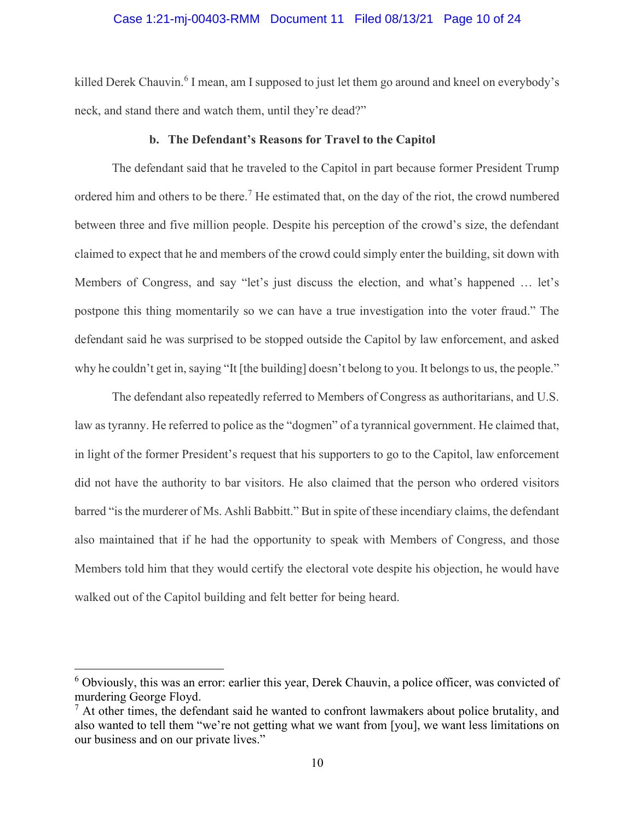## Case 1:21-mj-00403-RMM Document 11 Filed 08/13/21 Page 10 of 24

killed Derek Chauvin.<sup>6</sup> I mean, am I supposed to just let them go around and kneel on everybody's neck, and stand there and watch them, until they're dead?"

#### b. The Defendant's Reasons for Travel to the Capitol

The defendant said that he traveled to the Capitol in part because former President Trump ordered him and others to be there.<sup>7</sup> He estimated that, on the day of the riot, the crowd numbered between three and five million people. Despite his perception of the crowd's size, the defendant claimed to expect that he and members of the crowd could simply enter the building, sit down with Members of Congress, and say "let's just discuss the election, and what's happened … let's postpone this thing momentarily so we can have a true investigation into the voter fraud." The defendant said he was surprised to be stopped outside the Capitol by law enforcement, and asked why he couldn't get in, saying "It [the building] doesn't belong to you. It belongs to us, the people."

The defendant also repeatedly referred to Members of Congress as authoritarians, and U.S. law as tyranny. He referred to police as the "dogmen" of a tyrannical government. He claimed that, in light of the former President's request that his supporters to go to the Capitol, law enforcement did not have the authority to bar visitors. He also claimed that the person who ordered visitors barred "is the murderer of Ms. Ashli Babbitt." But in spite of these incendiary claims, the defendant also maintained that if he had the opportunity to speak with Members of Congress, and those Members told him that they would certify the electoral vote despite his objection, he would have walked out of the Capitol building and felt better for being heard.

<sup>&</sup>lt;sup>6</sup> Obviously, this was an error: earlier this year, Derek Chauvin, a police officer, was convicted of murdering George Floyd.

 $<sup>7</sup>$  At other times, the defendant said he wanted to confront lawmakers about police brutality, and</sup> also wanted to tell them "we're not getting what we want from [you], we want less limitations on our business and on our private lives."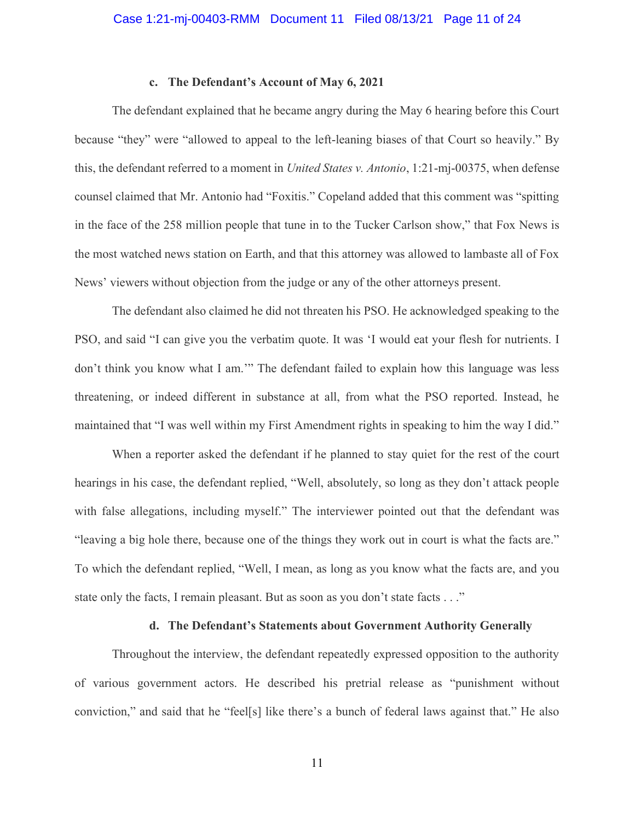## c. The Defendant's Account of May 6, 2021

 The defendant explained that he became angry during the May 6 hearing before this Court because "they" were "allowed to appeal to the left-leaning biases of that Court so heavily." By this, the defendant referred to a moment in United States v. Antonio, 1:21-mj-00375, when defense counsel claimed that Mr. Antonio had "Foxitis." Copeland added that this comment was "spitting in the face of the 258 million people that tune in to the Tucker Carlson show," that Fox News is the most watched news station on Earth, and that this attorney was allowed to lambaste all of Fox News' viewers without objection from the judge or any of the other attorneys present.

The defendant also claimed he did not threaten his PSO. He acknowledged speaking to the PSO, and said "I can give you the verbatim quote. It was 'I would eat your flesh for nutrients. I don't think you know what I am.'" The defendant failed to explain how this language was less threatening, or indeed different in substance at all, from what the PSO reported. Instead, he maintained that "I was well within my First Amendment rights in speaking to him the way I did."

When a reporter asked the defendant if he planned to stay quiet for the rest of the court hearings in his case, the defendant replied, "Well, absolutely, so long as they don't attack people with false allegations, including myself." The interviewer pointed out that the defendant was "leaving a big hole there, because one of the things they work out in court is what the facts are." To which the defendant replied, "Well, I mean, as long as you know what the facts are, and you state only the facts, I remain pleasant. But as soon as you don't state facts . . ."

## d. The Defendant's Statements about Government Authority Generally

Throughout the interview, the defendant repeatedly expressed opposition to the authority of various government actors. He described his pretrial release as "punishment without conviction," and said that he "feel[s] like there's a bunch of federal laws against that." He also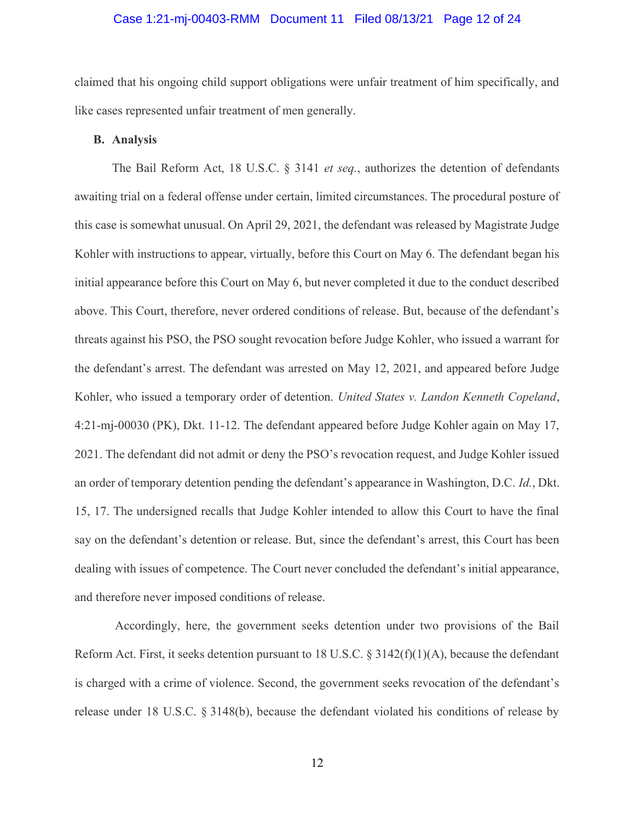## Case 1:21-mj-00403-RMM Document 11 Filed 08/13/21 Page 12 of 24

claimed that his ongoing child support obligations were unfair treatment of him specifically, and like cases represented unfair treatment of men generally.

#### B. Analysis

The Bail Reform Act, 18 U.S.C. § 3141 *et seq.*, authorizes the detention of defendants awaiting trial on a federal offense under certain, limited circumstances. The procedural posture of this case is somewhat unusual. On April 29, 2021, the defendant was released by Magistrate Judge Kohler with instructions to appear, virtually, before this Court on May 6. The defendant began his initial appearance before this Court on May 6, but never completed it due to the conduct described above. This Court, therefore, never ordered conditions of release. But, because of the defendant's threats against his PSO, the PSO sought revocation before Judge Kohler, who issued a warrant for the defendant's arrest. The defendant was arrested on May 12, 2021, and appeared before Judge Kohler, who issued a temporary order of detention. United States v. Landon Kenneth Copeland, 4:21-mj-00030 (PK), Dkt. 11-12. The defendant appeared before Judge Kohler again on May 17, 2021. The defendant did not admit or deny the PSO's revocation request, and Judge Kohler issued an order of temporary detention pending the defendant's appearance in Washington, D.C. Id., Dkt. 15, 17. The undersigned recalls that Judge Kohler intended to allow this Court to have the final say on the defendant's detention or release. But, since the defendant's arrest, this Court has been dealing with issues of competence. The Court never concluded the defendant's initial appearance, and therefore never imposed conditions of release.

 Accordingly, here, the government seeks detention under two provisions of the Bail Reform Act. First, it seeks detention pursuant to 18 U.S.C.  $\S 3142(f)(1)(A)$ , because the defendant is charged with a crime of violence. Second, the government seeks revocation of the defendant's release under 18 U.S.C. § 3148(b), because the defendant violated his conditions of release by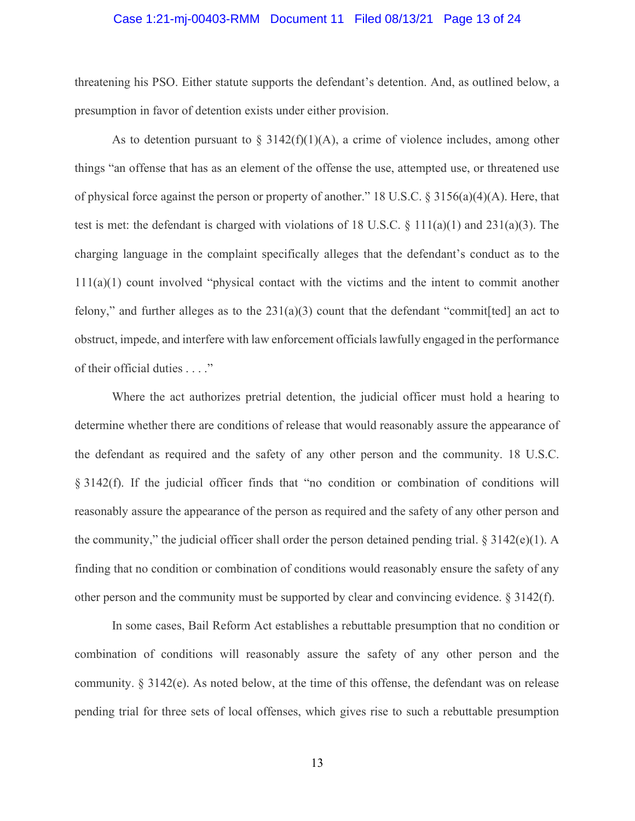### Case 1:21-mj-00403-RMM Document 11 Filed 08/13/21 Page 13 of 24

threatening his PSO. Either statute supports the defendant's detention. And, as outlined below, a presumption in favor of detention exists under either provision.

As to detention pursuant to  $\S$  3142(f)(1)(A), a crime of violence includes, among other things "an offense that has as an element of the offense the use, attempted use, or threatened use of physical force against the person or property of another." 18 U.S.C.  $\S 3156(a)(4)(A)$ . Here, that test is met: the defendant is charged with violations of 18 U.S.C. § 111(a)(1) and 231(a)(3). The charging language in the complaint specifically alleges that the defendant's conduct as to the 111(a)(1) count involved "physical contact with the victims and the intent to commit another felony," and further alleges as to the  $231(a)(3)$  count that the defendant "commit [ted] an act to obstruct, impede, and interfere with law enforcement officials lawfully engaged in the performance of their official duties . . . ."

Where the act authorizes pretrial detention, the judicial officer must hold a hearing to determine whether there are conditions of release that would reasonably assure the appearance of the defendant as required and the safety of any other person and the community. 18 U.S.C. § 3142(f). If the judicial officer finds that "no condition or combination of conditions will reasonably assure the appearance of the person as required and the safety of any other person and the community," the judicial officer shall order the person detained pending trial.  $\S 3142(e)(1)$ . A finding that no condition or combination of conditions would reasonably ensure the safety of any other person and the community must be supported by clear and convincing evidence. § 3142(f).

In some cases, Bail Reform Act establishes a rebuttable presumption that no condition or combination of conditions will reasonably assure the safety of any other person and the community.  $\S 3142(e)$ . As noted below, at the time of this offense, the defendant was on release pending trial for three sets of local offenses, which gives rise to such a rebuttable presumption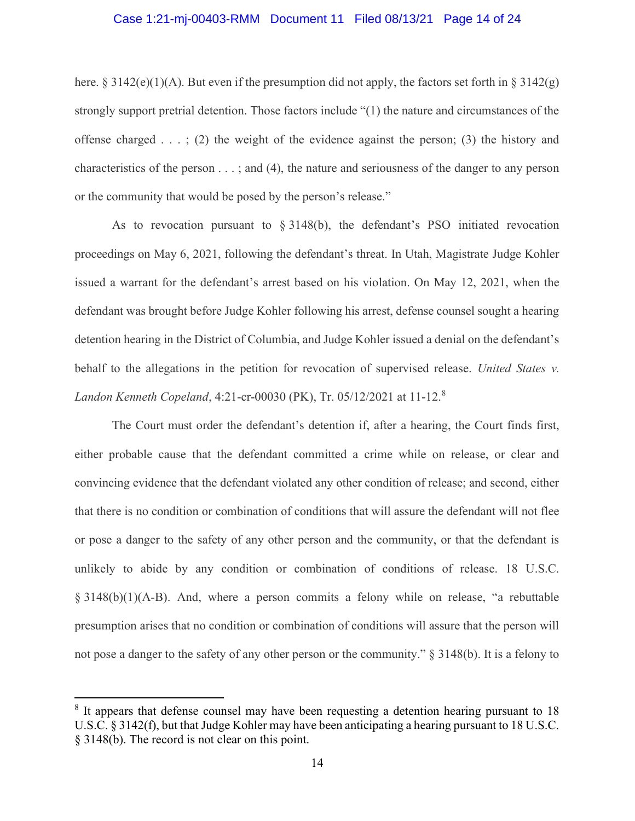## Case 1:21-mj-00403-RMM Document 11 Filed 08/13/21 Page 14 of 24

here. § 3142(e)(1)(A). But even if the presumption did not apply, the factors set forth in § 3142(g) strongly support pretrial detention. Those factors include "(1) the nature and circumstances of the offense charged  $\dots$ ; (2) the weight of the evidence against the person; (3) the history and characteristics of the person . . . ; and (4), the nature and seriousness of the danger to any person or the community that would be posed by the person's release."

As to revocation pursuant to  $\S 3148(b)$ , the defendant's PSO initiated revocation proceedings on May 6, 2021, following the defendant's threat. In Utah, Magistrate Judge Kohler issued a warrant for the defendant's arrest based on his violation. On May 12, 2021, when the defendant was brought before Judge Kohler following his arrest, defense counsel sought a hearing detention hearing in the District of Columbia, and Judge Kohler issued a denial on the defendant's behalf to the allegations in the petition for revocation of supervised release. United States v. Landon Kenneth Copeland, 4:21-cr-00030 (PK), Tr. 05/12/2021 at 11-12.<sup>8</sup>

The Court must order the defendant's detention if, after a hearing, the Court finds first, either probable cause that the defendant committed a crime while on release, or clear and convincing evidence that the defendant violated any other condition of release; and second, either that there is no condition or combination of conditions that will assure the defendant will not flee or pose a danger to the safety of any other person and the community, or that the defendant is unlikely to abide by any condition or combination of conditions of release. 18 U.S.C. § 3148(b)(1)(A-B). And, where a person commits a felony while on release, "a rebuttable presumption arises that no condition or combination of conditions will assure that the person will not pose a danger to the safety of any other person or the community." § 3148(b). It is a felony to

<sup>&</sup>lt;sup>8</sup> It appears that defense counsel may have been requesting a detention hearing pursuant to 18 U.S.C. § 3142(f), but that Judge Kohler may have been anticipating a hearing pursuant to 18 U.S.C. § 3148(b). The record is not clear on this point.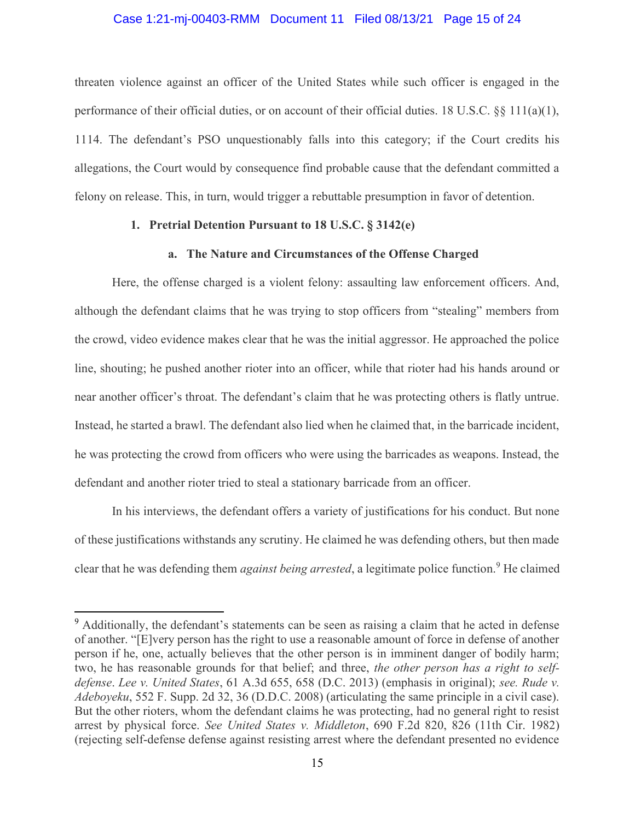### Case 1:21-mj-00403-RMM Document 11 Filed 08/13/21 Page 15 of 24

threaten violence against an officer of the United States while such officer is engaged in the performance of their official duties, or on account of their official duties. 18 U.S.C. §§ 111(a)(1), 1114. The defendant's PSO unquestionably falls into this category; if the Court credits his allegations, the Court would by consequence find probable cause that the defendant committed a felony on release. This, in turn, would trigger a rebuttable presumption in favor of detention.

## 1. Pretrial Detention Pursuant to 18 U.S.C. § 3142(e)

## a. The Nature and Circumstances of the Offense Charged

Here, the offense charged is a violent felony: assaulting law enforcement officers. And, although the defendant claims that he was trying to stop officers from "stealing" members from the crowd, video evidence makes clear that he was the initial aggressor. He approached the police line, shouting; he pushed another rioter into an officer, while that rioter had his hands around or near another officer's throat. The defendant's claim that he was protecting others is flatly untrue. Instead, he started a brawl. The defendant also lied when he claimed that, in the barricade incident, he was protecting the crowd from officers who were using the barricades as weapons. Instead, the defendant and another rioter tried to steal a stationary barricade from an officer.

In his interviews, the defendant offers a variety of justifications for his conduct. But none of these justifications withstands any scrutiny. He claimed he was defending others, but then made clear that he was defending them *against being arrested*, a legitimate police function.<sup>9</sup> He claimed

<sup>&</sup>lt;sup>9</sup> Additionally, the defendant's statements can be seen as raising a claim that he acted in defense of another. "[E]very person has the right to use a reasonable amount of force in defense of another person if he, one, actually believes that the other person is in imminent danger of bodily harm; two, he has reasonable grounds for that belief; and three, the other person has a right to selfdefense. Lee v. United States, 61 A.3d 655, 658 (D.C. 2013) (emphasis in original); see. Rude v. Adeboyeku, 552 F. Supp. 2d 32, 36 (D.D.C. 2008) (articulating the same principle in a civil case). But the other rioters, whom the defendant claims he was protecting, had no general right to resist arrest by physical force. See United States v. Middleton, 690 F.2d 820, 826 (11th Cir. 1982) (rejecting self-defense defense against resisting arrest where the defendant presented no evidence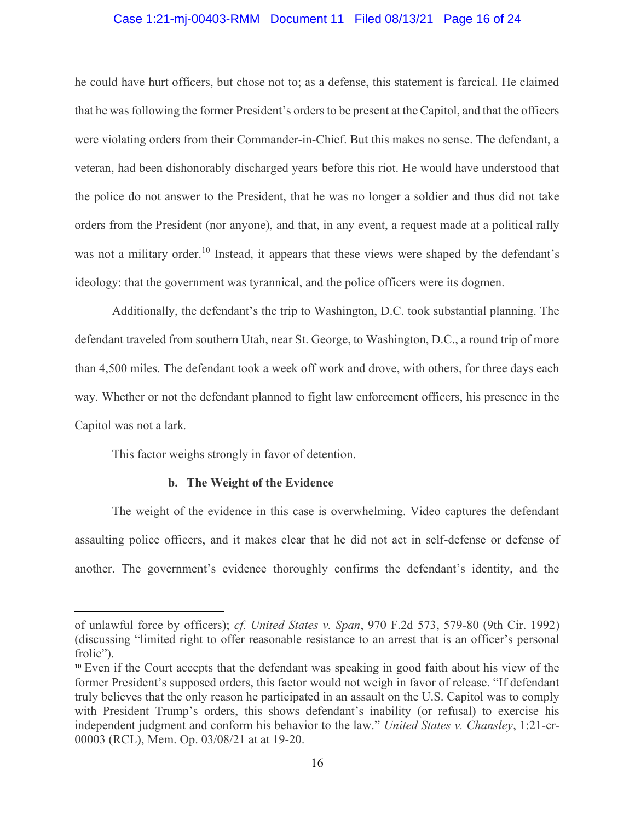## Case 1:21-mj-00403-RMM Document 11 Filed 08/13/21 Page 16 of 24

he could have hurt officers, but chose not to; as a defense, this statement is farcical. He claimed that he was following the former President's orders to be present at the Capitol, and that the officers were violating orders from their Commander-in-Chief. But this makes no sense. The defendant, a veteran, had been dishonorably discharged years before this riot. He would have understood that the police do not answer to the President, that he was no longer a soldier and thus did not take orders from the President (nor anyone), and that, in any event, a request made at a political rally was not a military order.<sup>10</sup> Instead, it appears that these views were shaped by the defendant's ideology: that the government was tyrannical, and the police officers were its dogmen.

Additionally, the defendant's the trip to Washington, D.C. took substantial planning. The defendant traveled from southern Utah, near St. George, to Washington, D.C., a round trip of more than 4,500 miles. The defendant took a week off work and drove, with others, for three days each way. Whether or not the defendant planned to fight law enforcement officers, his presence in the Capitol was not a lark.

This factor weighs strongly in favor of detention.

## b. The Weight of the Evidence

The weight of the evidence in this case is overwhelming. Video captures the defendant assaulting police officers, and it makes clear that he did not act in self-defense or defense of another. The government's evidence thoroughly confirms the defendant's identity, and the

of unlawful force by officers); cf. United States v. Span, 970 F.2d 573, 579-80 (9th Cir. 1992) (discussing "limited right to offer reasonable resistance to an arrest that is an officer's personal frolic").

<sup>&</sup>lt;sup>10</sup> Even if the Court accepts that the defendant was speaking in good faith about his view of the former President's supposed orders, this factor would not weigh in favor of release. "If defendant truly believes that the only reason he participated in an assault on the U.S. Capitol was to comply with President Trump's orders, this shows defendant's inability (or refusal) to exercise his independent judgment and conform his behavior to the law." United States v. Chansley, 1:21-cr-00003 (RCL), Mem. Op. 03/08/21 at at 19-20.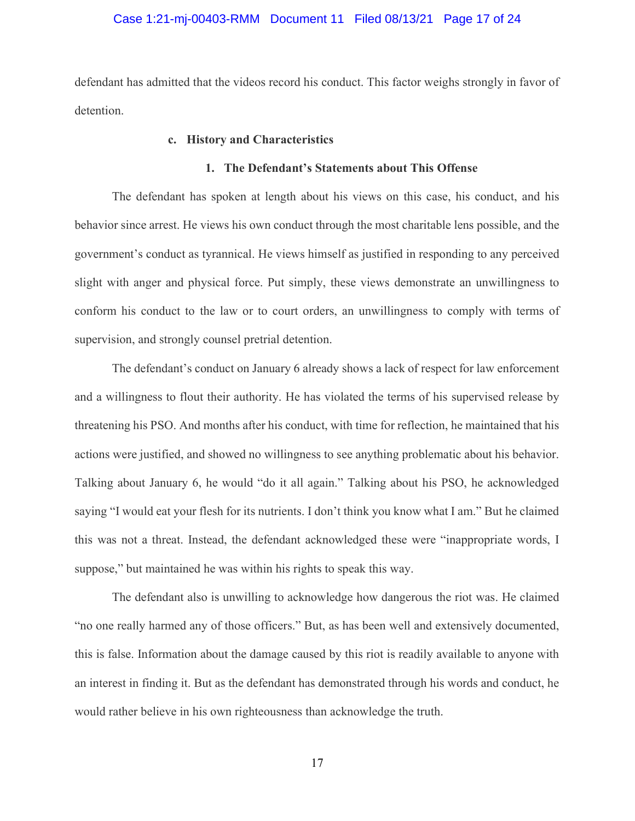## Case 1:21-mj-00403-RMM Document 11 Filed 08/13/21 Page 17 of 24

defendant has admitted that the videos record his conduct. This factor weighs strongly in favor of detention.

## c. History and Characteristics

#### 1. The Defendant's Statements about This Offense

The defendant has spoken at length about his views on this case, his conduct, and his behavior since arrest. He views his own conduct through the most charitable lens possible, and the government's conduct as tyrannical. He views himself as justified in responding to any perceived slight with anger and physical force. Put simply, these views demonstrate an unwillingness to conform his conduct to the law or to court orders, an unwillingness to comply with terms of supervision, and strongly counsel pretrial detention.

The defendant's conduct on January 6 already shows a lack of respect for law enforcement and a willingness to flout their authority. He has violated the terms of his supervised release by threatening his PSO. And months after his conduct, with time for reflection, he maintained that his actions were justified, and showed no willingness to see anything problematic about his behavior. Talking about January 6, he would "do it all again." Talking about his PSO, he acknowledged saying "I would eat your flesh for its nutrients. I don't think you know what I am." But he claimed this was not a threat. Instead, the defendant acknowledged these were "inappropriate words, I suppose," but maintained he was within his rights to speak this way.

The defendant also is unwilling to acknowledge how dangerous the riot was. He claimed "no one really harmed any of those officers." But, as has been well and extensively documented, this is false. Information about the damage caused by this riot is readily available to anyone with an interest in finding it. But as the defendant has demonstrated through his words and conduct, he would rather believe in his own righteousness than acknowledge the truth.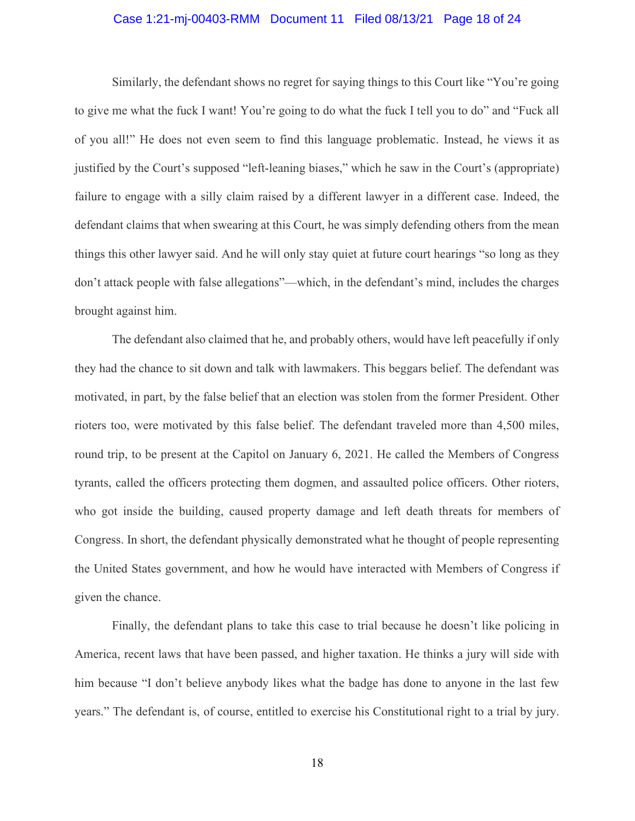## Case 1:21-mj-00403-RMM Document 11 Filed 08/13/21 Page 18 of 24

Similarly, the defendant shows no regret for saying things to this Court like "You're going to give me what the fuck I want! You're going to do what the fuck I tell you to do" and "Fuck all of you all!" He does not even seem to find this language problematic. Instead, he views it as justified by the Court's supposed "left-leaning biases," which he saw in the Court's (appropriate) failure to engage with a silly claim raised by a different lawyer in a different case. Indeed, the defendant claims that when swearing at this Court, he was simply defending others from the mean things this other lawyer said. And he will only stay quiet at future court hearings "so long as they don't attack people with false allegations"—which, in the defendant's mind, includes the charges brought against him.

The defendant also claimed that he, and probably others, would have left peacefully if only they had the chance to sit down and talk with lawmakers. This beggars belief. The defendant was motivated, in part, by the false belief that an election was stolen from the former President. Other rioters too, were motivated by this false belief. The defendant traveled more than 4,500 miles, round trip, to be present at the Capitol on January 6, 2021. He called the Members of Congress tyrants, called the officers protecting them dogmen, and assaulted police officers. Other rioters, who got inside the building, caused property damage and left death threats for members of Congress. In short, the defendant physically demonstrated what he thought of people representing the United States government, and how he would have interacted with Members of Congress if given the chance.

Finally, the defendant plans to take this case to trial because he doesn't like policing in America, recent laws that have been passed, and higher taxation. He thinks a jury will side with him because "I don't believe anybody likes what the badge has done to anyone in the last few years." The defendant is, of course, entitled to exercise his Constitutional right to a trial by jury.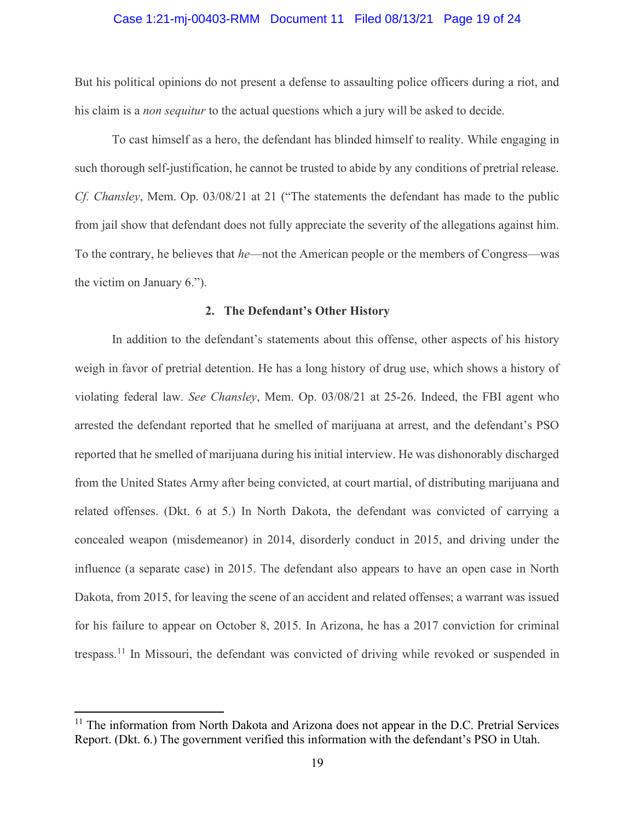### Case 1:21-mj-00403-RMM Document 11 Filed 08/13/21 Page 19 of 24

But his political opinions do not present a defense to assaulting police officers during a riot, and his claim is a non sequitur to the actual questions which a jury will be asked to decide.

To cast himself as a hero, the defendant has blinded himself to reality. While engaging in such thorough self-justification, he cannot be trusted to abide by any conditions of pretrial release. Cf. Chansley, Mem. Op. 03/08/21 at 21 ("The statements the defendant has made to the public from jail show that defendant does not fully appreciate the severity of the allegations against him. To the contrary, he believes that *he*—not the American people or the members of Congress—was the victim on January 6.").

### 2. The Defendant's Other History

In addition to the defendant's statements about this offense, other aspects of his history weigh in favor of pretrial detention. He has a long history of drug use, which shows a history of violating federal law. See Chansley, Mem. Op. 03/08/21 at 25-26. Indeed, the FBI agent who arrested the defendant reported that he smelled of marijuana at arrest, and the defendant's PSO reported that he smelled of marijuana during his initial interview. He was dishonorably discharged from the United States Army after being convicted, at court martial, of distributing marijuana and related offenses. (Dkt. 6 at 5.) In North Dakota, the defendant was convicted of carrying a concealed weapon (misdemeanor) in 2014, disorderly conduct in 2015, and driving under the influence (a separate case) in 2015. The defendant also appears to have an open case in North Dakota, from 2015, for leaving the scene of an accident and related offenses; a warrant was issued for his failure to appear on October 8, 2015. In Arizona, he has a 2017 conviction for criminal trespass.<sup>11</sup> In Missouri, the defendant was convicted of driving while revoked or suspended in

 $11$  The information from North Dakota and Arizona does not appear in the D.C. Pretrial Services Report. (Dkt. 6.) The government verified this information with the defendant's PSO in Utah.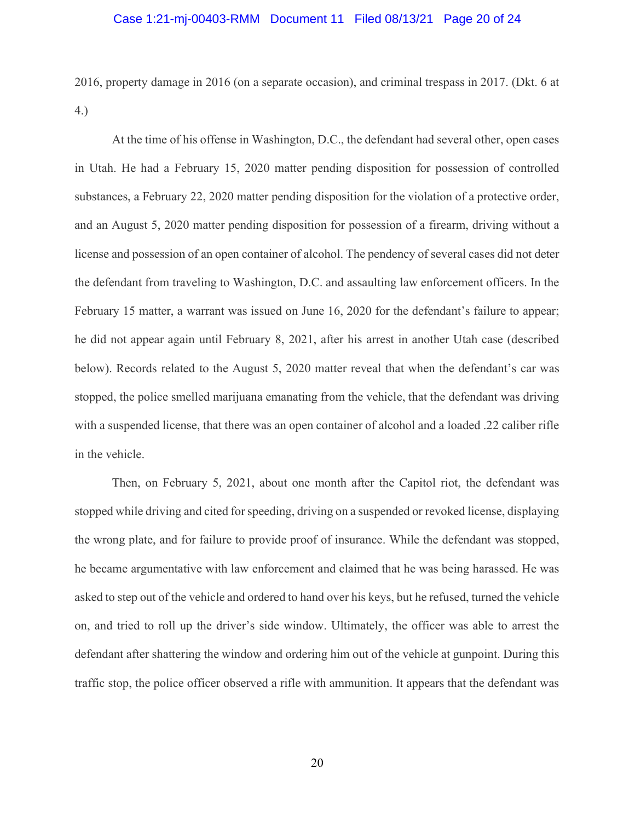## Case 1:21-mj-00403-RMM Document 11 Filed 08/13/21 Page 20 of 24

2016, property damage in 2016 (on a separate occasion), and criminal trespass in 2017. (Dkt. 6 at 4.)

At the time of his offense in Washington, D.C., the defendant had several other, open cases in Utah. He had a February 15, 2020 matter pending disposition for possession of controlled substances, a February 22, 2020 matter pending disposition for the violation of a protective order, and an August 5, 2020 matter pending disposition for possession of a firearm, driving without a license and possession of an open container of alcohol. The pendency of several cases did not deter the defendant from traveling to Washington, D.C. and assaulting law enforcement officers. In the February 15 matter, a warrant was issued on June 16, 2020 for the defendant's failure to appear; he did not appear again until February 8, 2021, after his arrest in another Utah case (described below). Records related to the August 5, 2020 matter reveal that when the defendant's car was stopped, the police smelled marijuana emanating from the vehicle, that the defendant was driving with a suspended license, that there was an open container of alcohol and a loaded .22 caliber rifle in the vehicle.

Then, on February 5, 2021, about one month after the Capitol riot, the defendant was stopped while driving and cited for speeding, driving on a suspended or revoked license, displaying the wrong plate, and for failure to provide proof of insurance. While the defendant was stopped, he became argumentative with law enforcement and claimed that he was being harassed. He was asked to step out of the vehicle and ordered to hand over his keys, but he refused, turned the vehicle on, and tried to roll up the driver's side window. Ultimately, the officer was able to arrest the defendant after shattering the window and ordering him out of the vehicle at gunpoint. During this traffic stop, the police officer observed a rifle with ammunition. It appears that the defendant was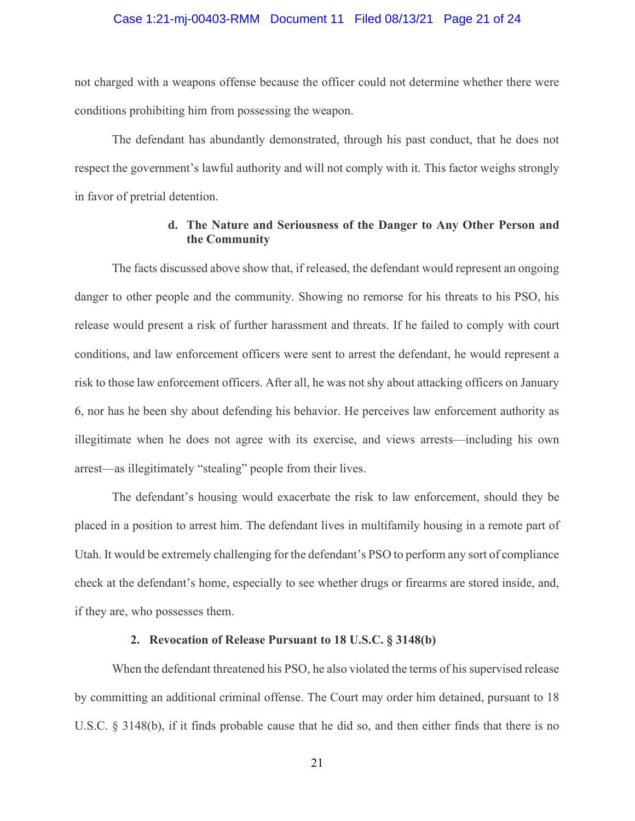#### Case 1:21-mj-00403-RMM Document 11 Filed 08/13/21 Page 21 of 24

not charged with a weapons offense because the officer could not determine whether there were conditions prohibiting him from possessing the weapon.

The defendant has abundantly demonstrated, through his past conduct, that he does not respect the government's lawful authority and will not comply with it. This factor weighs strongly in favor of pretrial detention.

## d. The Nature and Seriousness of the Danger to Any Other Person and the Community

The facts discussed above show that, if released, the defendant would represent an ongoing danger to other people and the community. Showing no remorse for his threats to his PSO, his release would present a risk of further harassment and threats. If he failed to comply with court conditions, and law enforcement officers were sent to arrest the defendant, he would represent a risk to those law enforcement officers. After all, he was not shy about attacking officers on January 6, nor has he been shy about defending his behavior. He perceives law enforcement authority as illegitimate when he does not agree with its exercise, and views arrests—including his own arrest—as illegitimately "stealing" people from their lives.

The defendant's housing would exacerbate the risk to law enforcement, should they be placed in a position to arrest him. The defendant lives in multifamily housing in a remote part of Utah. It would be extremely challenging for the defendant's PSO to perform any sort of compliance check at the defendant's home, especially to see whether drugs or firearms are stored inside, and, if they are, who possesses them.

## 2. Revocation of Release Pursuant to 18 U.S.C. § 3148(b)

When the defendant threatened his PSO, he also violated the terms of his supervised release by committing an additional criminal offense. The Court may order him detained, pursuant to 18 U.S.C. § 3148(b), if it finds probable cause that he did so, and then either finds that there is no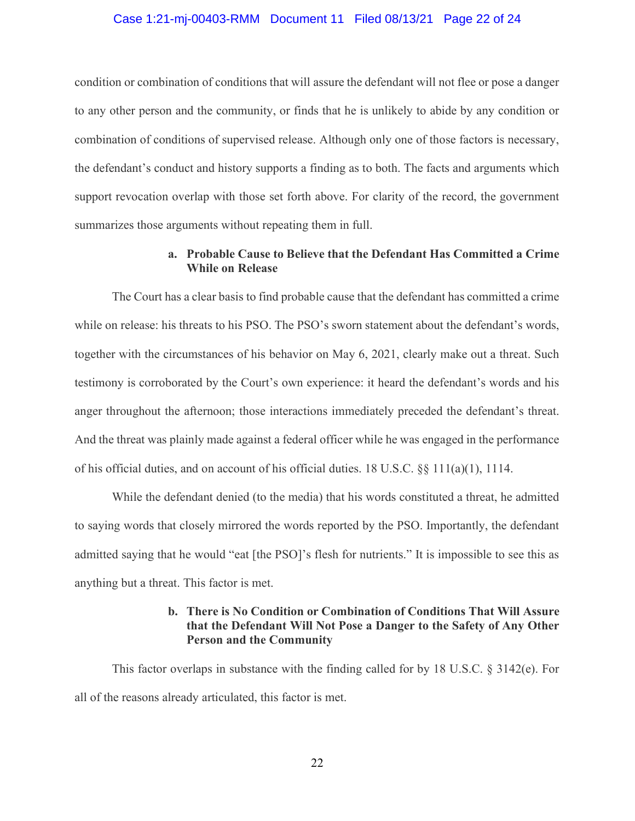#### Case 1:21-mj-00403-RMM Document 11 Filed 08/13/21 Page 22 of 24

condition or combination of conditions that will assure the defendant will not flee or pose a danger to any other person and the community, or finds that he is unlikely to abide by any condition or combination of conditions of supervised release. Although only one of those factors is necessary, the defendant's conduct and history supports a finding as to both. The facts and arguments which support revocation overlap with those set forth above. For clarity of the record, the government summarizes those arguments without repeating them in full.

## a. Probable Cause to Believe that the Defendant Has Committed a Crime While on Release

The Court has a clear basis to find probable cause that the defendant has committed a crime while on release: his threats to his PSO. The PSO's sworn statement about the defendant's words, together with the circumstances of his behavior on May 6, 2021, clearly make out a threat. Such testimony is corroborated by the Court's own experience: it heard the defendant's words and his anger throughout the afternoon; those interactions immediately preceded the defendant's threat. And the threat was plainly made against a federal officer while he was engaged in the performance of his official duties, and on account of his official duties. 18 U.S.C. §§ 111(a)(1), 1114.

While the defendant denied (to the media) that his words constituted a threat, he admitted to saying words that closely mirrored the words reported by the PSO. Importantly, the defendant admitted saying that he would "eat [the PSO]'s flesh for nutrients." It is impossible to see this as anything but a threat. This factor is met.

## b. There is No Condition or Combination of Conditions That Will Assure that the Defendant Will Not Pose a Danger to the Safety of Any Other Person and the Community

This factor overlaps in substance with the finding called for by 18 U.S.C.  $\S$  3142(e). For all of the reasons already articulated, this factor is met.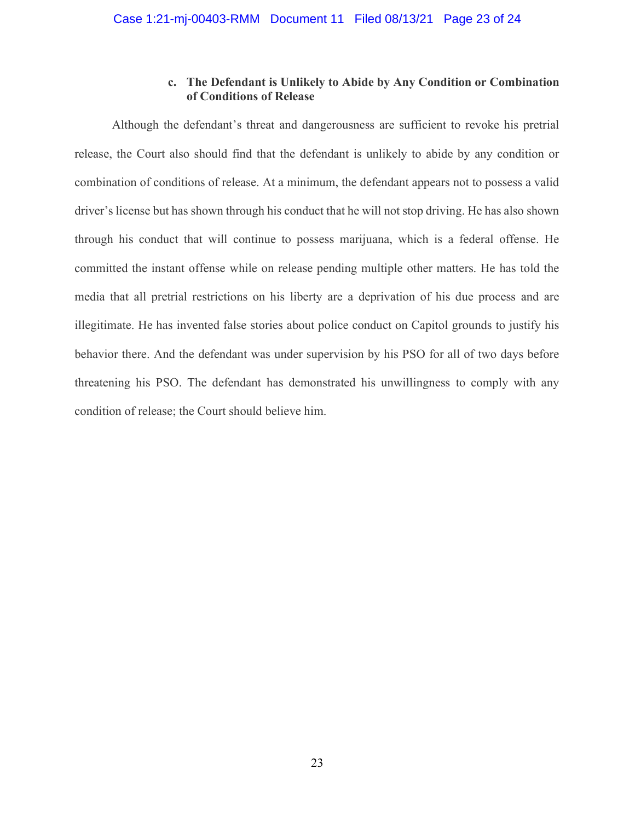## c. The Defendant is Unlikely to Abide by Any Condition or Combination of Conditions of Release

Although the defendant's threat and dangerousness are sufficient to revoke his pretrial release, the Court also should find that the defendant is unlikely to abide by any condition or combination of conditions of release. At a minimum, the defendant appears not to possess a valid driver's license but has shown through his conduct that he will not stop driving. He has also shown through his conduct that will continue to possess marijuana, which is a federal offense. He committed the instant offense while on release pending multiple other matters. He has told the media that all pretrial restrictions on his liberty are a deprivation of his due process and are illegitimate. He has invented false stories about police conduct on Capitol grounds to justify his behavior there. And the defendant was under supervision by his PSO for all of two days before threatening his PSO. The defendant has demonstrated his unwillingness to comply with any condition of release; the Court should believe him.